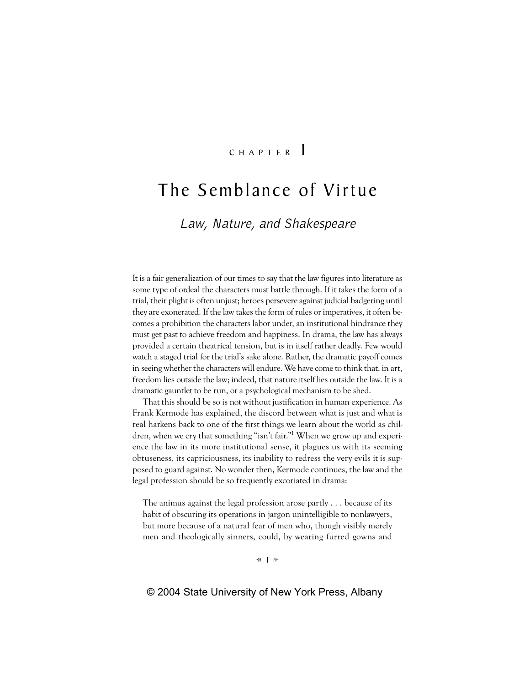## CHAPTER I

# The Semblance of Virtue

## Law, Nature, and Shakespeare

It is a fair generalization of our times to say that the law figures into literature as some type of ordeal the characters must battle through. If it takes the form of a trial, their plight is often unjust; heroes persevere against judicial badgering until they are exonerated. If the law takes the form of rules or imperatives, it often becomes a prohibition the characters labor under, an institutional hindrance they must get past to achieve freedom and happiness. In drama, the law has always provided a certain theatrical tension, but is in itself rather deadly. Few would watch a staged trial for the trial's sake alone. Rather, the dramatic payoff comes in seeing whether the characters will endure. We have come to think that, in art, freedom lies outside the law; indeed, that nature itself lies outside the law. It is a dramatic gauntlet to be run, or a psychological mechanism to be shed.

That this should be so is not without justification in human experience. As Frank Kermode has explained, the discord between what is just and what is real harkens back to one of the first things we learn about the world as children, when we cry that something "isn't fair."1 When we grow up and experience the law in its more institutional sense, it plagues us with its seeming obtuseness, its capriciousness, its inability to redress the very evils it is supposed to guard against. No wonder then, Kermode continues, the law and the legal profession should be so frequently excoriated in drama:

The animus against the legal profession arose partly . . . because of its habit of obscuring its operations in jargon unintelligible to nonlawyers, but more because of a natural fear of men who, though visibly merely men and theologically sinners, could, by wearing furred gowns and

 $\frac{1}{2}$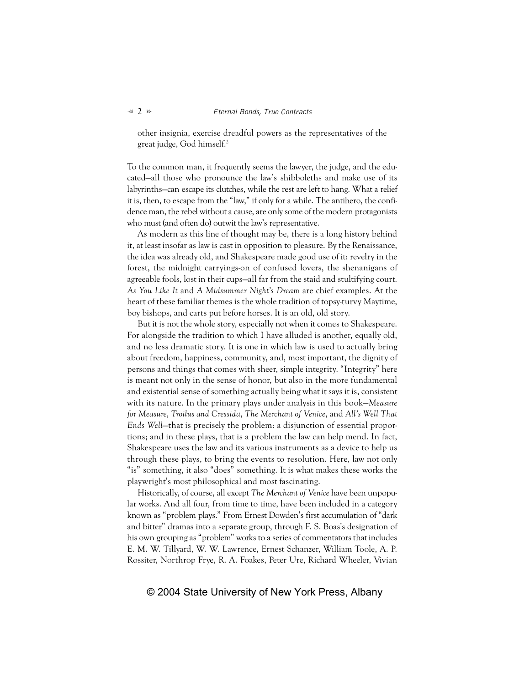other insignia, exercise dreadful powers as the representatives of the great judge, God himself.2

To the common man, it frequently seems the lawyer, the judge, and the educated—all those who pronounce the law's shibboleths and make use of its labyrinths—can escape its clutches, while the rest are left to hang. What a relief it is, then, to escape from the "law," if only for a while. The antihero, the confidence man, the rebel without a cause, are only some of the modern protagonists who must (and often do) outwit the law's representative.

As modern as this line of thought may be, there is a long history behind it, at least insofar as law is cast in opposition to pleasure. By the Renaissance, the idea was already old, and Shakespeare made good use of it: revelry in the forest, the midnight carryings-on of confused lovers, the shenanigans of agreeable fools, lost in their cups—all far from the staid and stultifying court. *As You Like It* and *A Midsummer Night's Dream* are chief examples. At the heart of these familiar themes is the whole tradition of topsy-turvy Maytime, boy bishops, and carts put before horses. It is an old, old story.

But it is not the whole story, especially not when it comes to Shakespeare. For alongside the tradition to which I have alluded is another, equally old, and no less dramatic story. It is one in which law is used to actually bring about freedom, happiness, community, and, most important, the dignity of persons and things that comes with sheer, simple integrity. "Integrity" here is meant not only in the sense of honor, but also in the more fundamental and existential sense of something actually being what it says it is, consistent with its nature. In the primary plays under analysis in this book—*Measure for Measure*, *Troilus and Cressida*, *The Merchant of Venice*, and *All's Well That Ends Well*—that is precisely the problem: a disjunction of essential proportions; and in these plays, that is a problem the law can help mend. In fact, Shakespeare uses the law and its various instruments as a device to help us through these plays, to bring the events to resolution. Here, law not only "is" something, it also "does" something. It is what makes these works the playwright's most philosophical and most fascinating.

Historically, of course, all except *The Merchant of Venice* have been unpopular works. And all four, from time to time, have been included in a category known as "problem plays." From Ernest Dowden's first accumulation of "dark and bitter" dramas into a separate group, through F. S. Boas's designation of his own grouping as "problem" works to a series of commentators that includes E. M. W. Tillyard, W. W. Lawrence, Ernest Schanzer, William Toole, A. P. Rossiter, Northrop Frye, R. A. Foakes, Peter Ure, Richard Wheeler, Vivian

 $42.5$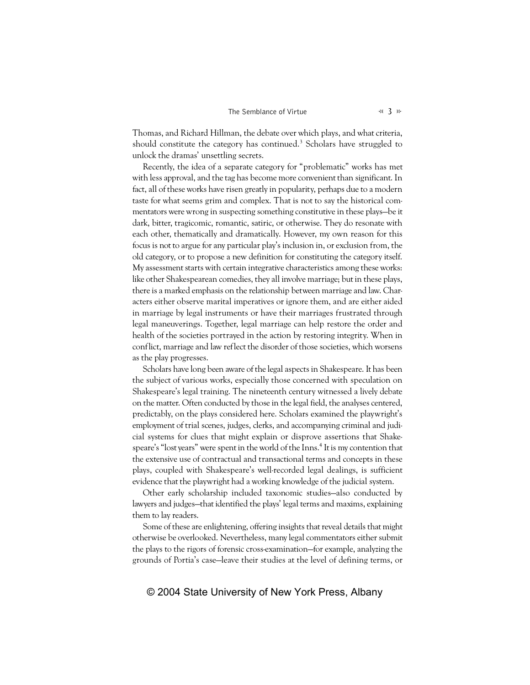Thomas, and Richard Hillman, the debate over which plays, and what criteria, should constitute the category has continued.<sup>3</sup> Scholars have struggled to unlock the dramas' unsettling secrets.

Recently, the idea of a separate category for "problematic" works has met with less approval, and the tag has become more convenient than significant. In fact, all of these works have risen greatly in popularity, perhaps due to a modern taste for what seems grim and complex. That is not to say the historical commentators were wrong in suspecting something constitutive in these plays—be it dark, bitter, tragicomic, romantic, satiric, or otherwise. They do resonate with each other, thematically and dramatically. However, my own reason for this focus is not to argue for any particular play's inclusion in, or exclusion from, the old category, or to propose a new definition for constituting the category itself. My assessment starts with certain integrative characteristics among these works: like other Shakespearean comedies, they all involve marriage; but in these plays, there is a marked emphasis on the relationship between marriage and law. Characters either observe marital imperatives or ignore them, and are either aided in marriage by legal instruments or have their marriages frustrated through legal maneuverings. Together, legal marriage can help restore the order and health of the societies portrayed in the action by restoring integrity. When in conf lict, marriage and law ref lect the disorder of those societies, which worsens as the play progresses.

Scholars have long been aware of the legal aspects in Shakespeare. It has been the subject of various works, especially those concerned with speculation on Shakespeare's legal training. The nineteenth century witnessed a lively debate on the matter. Often conducted by those in the legal field, the analyses centered, predictably, on the plays considered here. Scholars examined the playwright's employment of trial scenes, judges, clerks, and accompanying criminal and judicial systems for clues that might explain or disprove assertions that Shakespeare's "lost years" were spent in the world of the Inns.<sup>4</sup> It is my contention that the extensive use of contractual and transactional terms and concepts in these plays, coupled with Shakespeare's well-recorded legal dealings, is sufficient evidence that the playwright had a working knowledge of the judicial system.

Other early scholarship included taxonomic studies—also conducted by lawyers and judges—that identified the plays' legal terms and maxims, explaining them to lay readers.

Some of these are enlightening, offering insights that reveal details that might otherwise be overlooked. Nevertheless, many legal commentators either submit the plays to the rigors of forensic cross-examination—for example, analyzing the grounds of Portia's case—leave their studies at the level of defining terms, or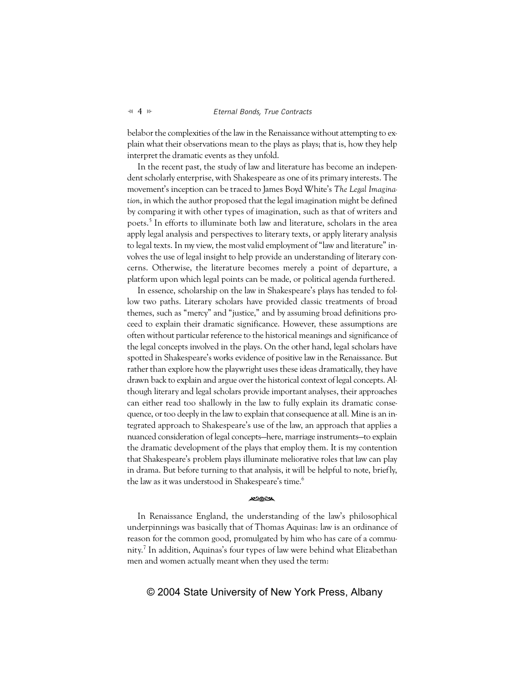belabor the complexities of the law in the Renaissance without attempting to explain what their observations mean to the plays as plays; that is, how they help interpret the dramatic events as they unfold.

In the recent past, the study of law and literature has become an independent scholarly enterprise, with Shakespeare as one of its primary interests. The movement's inception can be traced to James Boyd White's *The Legal Imagination*, in which the author proposed that the legal imagination might be defined by comparing it with other types of imagination, such as that of writers and poets.5 In efforts to illuminate both law and literature, scholars in the area apply legal analysis and perspectives to literary texts, or apply literary analysis to legal texts. In my view, the most valid employment of "law and literature" involves the use of legal insight to help provide an understanding of literary concerns. Otherwise, the literature becomes merely a point of departure, a platform upon which legal points can be made, or political agenda furthered.

In essence, scholarship on the law in Shakespeare's plays has tended to follow two paths. Literary scholars have provided classic treatments of broad themes, such as "mercy" and "justice," and by assuming broad definitions proceed to explain their dramatic significance. However, these assumptions are often without particular reference to the historical meanings and significance of the legal concepts involved in the plays. On the other hand, legal scholars have spotted in Shakespeare's works evidence of positive law in the Renaissance. But rather than explore how the playwright uses these ideas dramatically, they have drawn back to explain and argue over the historical context of legal concepts. Although literary and legal scholars provide important analyses, their approaches can either read too shallowly in the law to fully explain its dramatic consequence, or too deeply in the law to explain that consequence at all. Mine is an integrated approach to Shakespeare's use of the law, an approach that applies a nuanced consideration of legal concepts—here, marriage instruments—to explain the dramatic development of the plays that employ them. It is my contention that Shakespeare's problem plays illuminate meliorative roles that law can play in drama. But before turning to that analysis, it will be helpful to note, briefly, the law as it was understood in Shakespeare's time.<sup>6</sup>

#### ASSOCAL

In Renaissance England, the understanding of the law's philosophical underpinnings was basically that of Thomas Aquinas: law is an ordinance of reason for the common good, promulgated by him who has care of a community.<sup>7</sup> In addition, Aquinas's four types of law were behind what Elizabethan men and women actually meant when they used the term:

#### © 2004 State University of New York Press, Albany

 $44$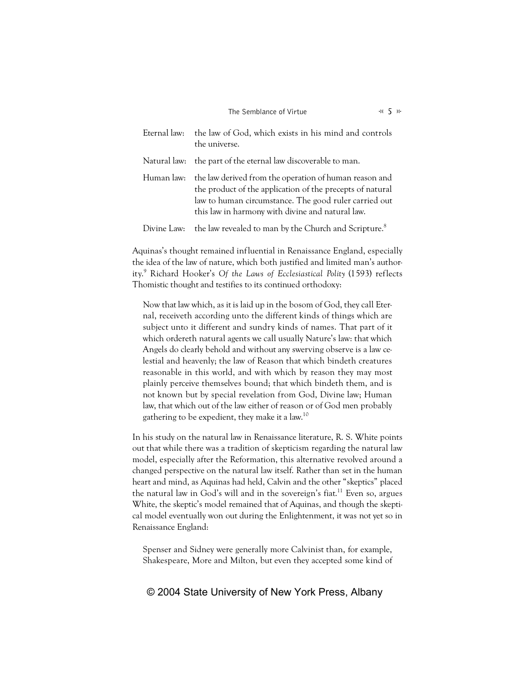| Eternal law: | the law of God, which exists in his mind and controls<br>the universe.                                                                                                                                                                      |
|--------------|---------------------------------------------------------------------------------------------------------------------------------------------------------------------------------------------------------------------------------------------|
|              | Natural law: the part of the eternal law discoverable to man.                                                                                                                                                                               |
|              | Human law: the law derived from the operation of human reason and<br>the product of the application of the precepts of natural<br>law to human circumstance. The good ruler carried out<br>this law in harmony with divine and natural law. |

Divine Law: the law revealed to man by the Church and Scripture.<sup>8</sup>

Aquinas's thought remained inf luential in Renaissance England, especially the idea of the law of nature, which both justified and limited man's authority.9 Richard Hooker's *Of the Laws of Ecclesiastical Polity* (1593) ref lects Thomistic thought and testifies to its continued orthodoxy:

Now that law which, as it is laid up in the bosom of God, they call Eternal, receiveth according unto the different kinds of things which are subject unto it different and sundry kinds of names. That part of it which ordereth natural agents we call usually Nature's law: that which Angels do clearly behold and without any swerving observe is a law celestial and heavenly; the law of Reason that which bindeth creatures reasonable in this world, and with which by reason they may most plainly perceive themselves bound; that which bindeth them, and is not known but by special revelation from God, Divine law; Human law, that which out of the law either of reason or of God men probably gathering to be expedient, they make it a law.10

In his study on the natural law in Renaissance literature, R. S. White points out that while there was a tradition of skepticism regarding the natural law model, especially after the Reformation, this alternative revolved around a changed perspective on the natural law itself. Rather than set in the human heart and mind, as Aquinas had held, Calvin and the other "skeptics" placed the natural law in God's will and in the sovereign's fiat.<sup>11</sup> Even so, argues White, the skeptic's model remained that of Aquinas, and though the skeptical model eventually won out during the Enlightenment, it was not yet so in Renaissance England:

Spenser and Sidney were generally more Calvinist than, for example, Shakespeare, More and Milton, but even they accepted some kind of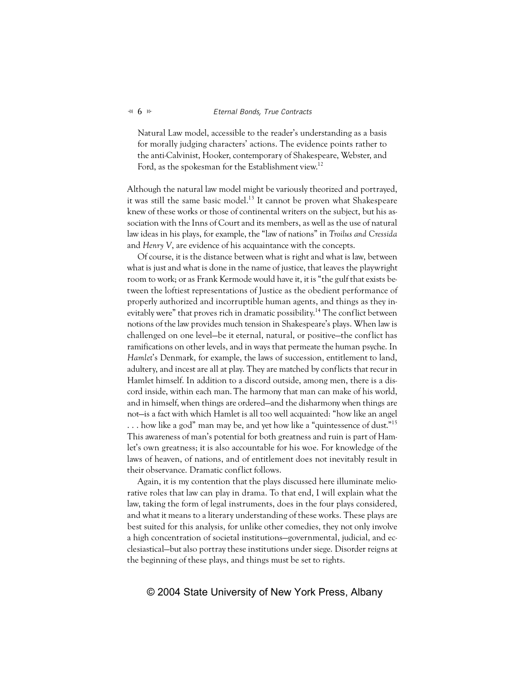Natural Law model, accessible to the reader's understanding as a basis for morally judging characters' actions. The evidence points rather to the anti-Calvinist, Hooker, contemporary of Shakespeare, Webster, and Ford, as the spokesman for the Establishment view.<sup>12</sup>

Although the natural law model might be variously theorized and portrayed, it was still the same basic model.<sup>13</sup> It cannot be proven what Shakespeare knew of these works or those of continental writers on the subject, but his association with the Inns of Court and its members, as well as the use of natural law ideas in his plays, for example, the "law of nations" in *Troilus and Cressida* and *Henry V*, are evidence of his acquaintance with the concepts.

Of course, it is the distance between what is right and what is law, between what is just and what is done in the name of justice, that leaves the playwright room to work; or as Frank Kermode would have it, it is "the gulf that exists between the loftiest representations of Justice as the obedient performance of properly authorized and incorruptible human agents, and things as they inevitably were" that proves rich in dramatic possibility.<sup>14</sup> The conflict between notions of the law provides much tension in Shakespeare's plays. When law is challenged on one level—be it eternal, natural, or positive—the conf lict has ramifications on other levels, and in ways that permeate the human psyche. In *Hamlet*'s Denmark, for example, the laws of succession, entitlement to land, adultery, and incest are all at play. They are matched by conf licts that recur in Hamlet himself. In addition to a discord outside, among men, there is a discord inside, within each man. The harmony that man can make of his world, and in himself, when things are ordered—and the disharmony when things are not—is a fact with which Hamlet is all too well acquainted: "how like an angel ... how like a god" man may be, and yet how like a "quintessence of dust."<sup>15</sup> This awareness of man's potential for both greatness and ruin is part of Hamlet's own greatness; it is also accountable for his woe. For knowledge of the laws of heaven, of nations, and of entitlement does not inevitably result in their observance. Dramatic conf lict follows.

Again, it is my contention that the plays discussed here illuminate meliorative roles that law can play in drama. To that end, I will explain what the law, taking the form of legal instruments, does in the four plays considered, and what it means to a literary understanding of these works. These plays are best suited for this analysis, for unlike other comedies, they not only involve a high concentration of societal institutions—governmental, judicial, and ecclesiastical—but also portray these institutions under siege. Disorder reigns at the beginning of these plays, and things must be set to rights.

#### © 2004 State University of New York Press, Albany

 $46$   $*$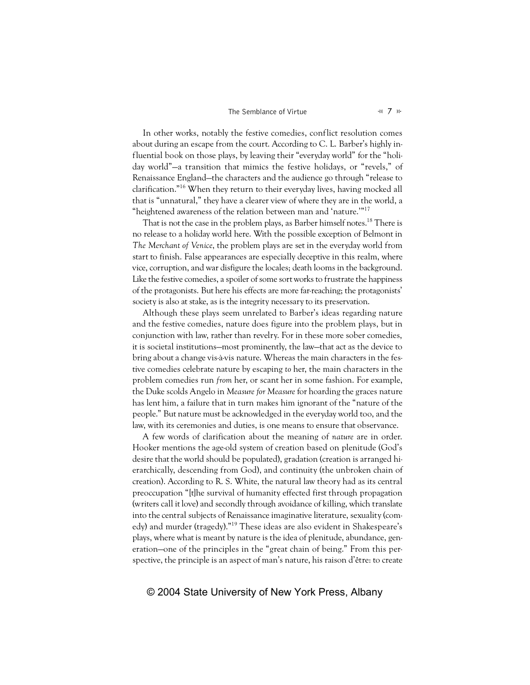In other works, notably the festive comedies, conf lict resolution comes about during an escape from the court. According to C. L. Barber's highly influential book on those plays, by leaving their "everyday world" for the "holiday world"—a transition that mimics the festive holidays, or "revels," of Renaissance England—the characters and the audience go through "release to clarification."16 When they return to their everyday lives, having mocked all that is "unnatural," they have a clearer view of where they are in the world, a "heightened awareness of the relation between man and 'nature.'"17

That is not the case in the problem plays, as Barber himself notes.<sup>18</sup> There is no release to a holiday world here. With the possible exception of Belmont in *The Merchant of Venice*, the problem plays are set in the everyday world from start to finish. False appearances are especially deceptive in this realm, where vice, corruption, and war disfigure the locales; death looms in the background. Like the festive comedies, a spoiler of some sort works to frustrate the happiness of the protagonists. But here his effects are more far-reaching; the protagonists' society is also at stake, as is the integrity necessary to its preservation.

Although these plays seem unrelated to Barber's ideas regarding nature and the festive comedies, nature does figure into the problem plays, but in conjunction with law, rather than revelry. For in these more sober comedies, it is societal institutions—most prominently, the law—that act as the device to bring about a change vis-à-vis nature. Whereas the main characters in the festive comedies celebrate nature by escaping *to* her, the main characters in the problem comedies run *from* her, or scant her in some fashion. For example, the Duke scolds Angelo in *Measure for Measure* for hoarding the graces nature has lent him, a failure that in turn makes him ignorant of the "nature of the people." But nature must be acknowledged in the everyday world too, and the law, with its ceremonies and duties, is one means to ensure that observance.

A few words of clarification about the meaning of *nature* are in order. Hooker mentions the age-old system of creation based on plenitude (God's desire that the world should be populated), gradation (creation is arranged hierarchically, descending from God), and continuity (the unbroken chain of creation). According to R. S. White, the natural law theory had as its central preoccupation "[t]he survival of humanity effected first through propagation (writers call it love) and secondly through avoidance of killing, which translate into the central subjects of Renaissance imaginative literature, sexuality (comedy) and murder (tragedy)."19 These ideas are also evident in Shakespeare's plays, where what is meant by nature is the idea of plenitude, abundance, generation—one of the principles in the "great chain of being." From this perspective, the principle is an aspect of man's nature, his raison d'être: to create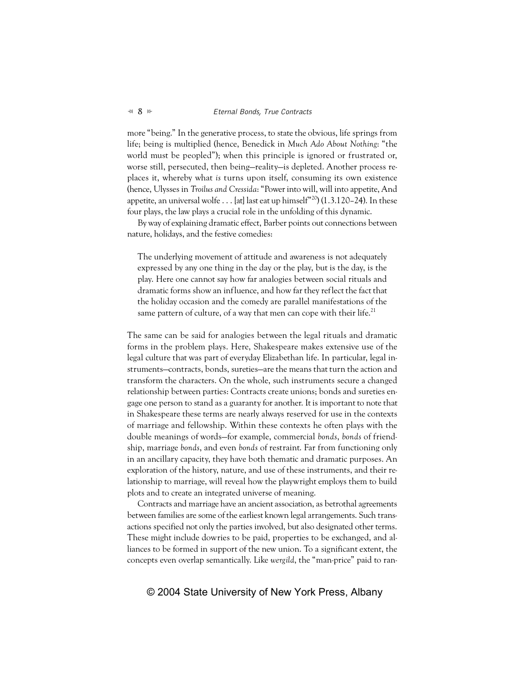more "being." In the generative process, to state the obvious, life springs from life; being is multiplied (hence, Benedick in *Much Ado About Nothing*: "the world must be peopled"); when this principle is ignored or frustrated or, worse still, persecuted, then being—reality—is depleted. Another process replaces it, whereby what *is* turns upon itself, consuming its own existence (hence, Ulysses in *Troilus and Cressida*: "Power into will, will into appetite, And appetite, an universal wolfe . . . [at] last eat up himself"<sup>20</sup>) (1.3.120-24). In these four plays, the law plays a crucial role in the unfolding of this dynamic.

By way of explaining dramatic effect, Barber points out connections between nature, holidays, and the festive comedies:

The underlying movement of attitude and awareness is not adequately expressed by any one thing in the day or the play, but is the day, is the play. Here one cannot say how far analogies between social rituals and dramatic forms show an inf luence, and how far they ref lect the fact that the holiday occasion and the comedy are parallel manifestations of the same pattern of culture, of a way that men can cope with their life.<sup>21</sup>

The same can be said for analogies between the legal rituals and dramatic forms in the problem plays. Here, Shakespeare makes extensive use of the legal culture that was part of everyday Elizabethan life. In particular, legal instruments—contracts, bonds, sureties—are the means that turn the action and transform the characters. On the whole, such instruments secure a changed relationship between parties: Contracts create unions; bonds and sureties engage one person to stand as a guaranty for another. It is important to note that in Shakespeare these terms are nearly always reserved for use in the contexts of marriage and fellowship. Within these contexts he often plays with the double meanings of words—for example, commercial *bonds*, *bonds* of friendship, marriage *bonds*, and even *bonds* of restraint. Far from functioning only in an ancillary capacity, they have both thematic and dramatic purposes. An exploration of the history, nature, and use of these instruments, and their relationship to marriage, will reveal how the playwright employs them to build plots and to create an integrated universe of meaning.

Contracts and marriage have an ancient association, as betrothal agreements between families are some of the earliest known legal arrangements. Such transactions specified not only the parties involved, but also designated other terms. These might include dowries to be paid, properties to be exchanged, and alliances to be formed in support of the new union. To a significant extent, the concepts even overlap semantically. Like *wergild*, the "man-price" paid to ran-

 $8 *$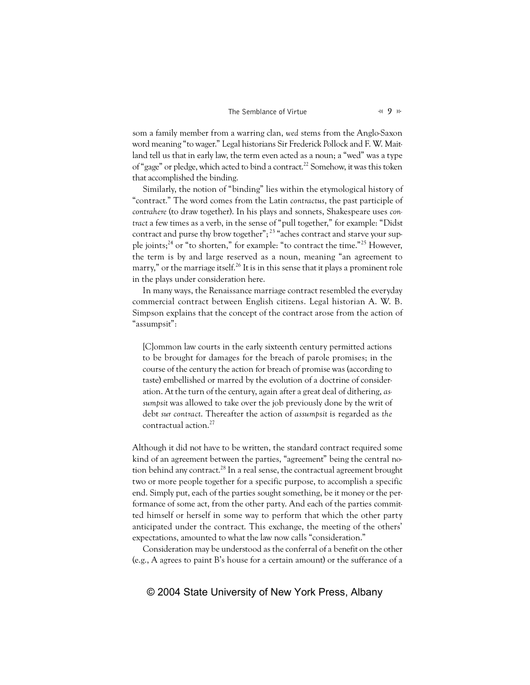som a family member from a warring clan, *wed* stems from the Anglo-Saxon word meaning "to wager." Legal historians Sir Frederick Pollock and F. W. Maitland tell us that in early law, the term even acted as a noun; a "wed" was a type of "gage" or pledge, which acted to bind a contract.<sup>22</sup> Somehow, it was this token that accomplished the binding.

Similarly, the notion of "binding" lies within the etymological history of "contract." The word comes from the Latin *contractus*, the past participle of *contrahere* (to draw together). In his plays and sonnets, Shakespeare uses *contract* a few times as a verb, in the sense of "pull together," for example: "Didst contract and purse thy brow together"; <sup>23</sup> "aches contract and starve your supple joints;<sup>24</sup> or "to shorten," for example: "to contract the time."<sup>25</sup> However, the term is by and large reserved as a noun, meaning "an agreement to marry," or the marriage itself.<sup>26</sup> It is in this sense that it plays a prominent role in the plays under consideration here.

In many ways, the Renaissance marriage contract resembled the everyday commercial contract between English citizens. Legal historian A. W. B. Simpson explains that the concept of the contract arose from the action of "assumpsit":

[C]ommon law courts in the early sixteenth century permitted actions to be brought for damages for the breach of parole promises; in the course of the century the action for breach of promise was (according to taste) embellished or marred by the evolution of a doctrine of consideration. At the turn of the century, again after a great deal of dithering, *assumpsit* was allowed to take over the job previously done by the writ of debt *sur contract*. Thereafter the action of *assumpsit* is regarded as *the* contractual action.27

Although it did not have to be written, the standard contract required some kind of an agreement between the parties, "agreement" being the central notion behind any contract.<sup>28</sup> In a real sense, the contractual agreement brought two or more people together for a specific purpose, to accomplish a specific end. Simply put, each of the parties sought something, be it money or the performance of some act, from the other party. And each of the parties committed himself or herself in some way to perform that which the other party anticipated under the contract. This exchange, the meeting of the others' expectations, amounted to what the law now calls "consideration."

Consideration may be understood as the conferral of a benefit on the other (e.g., A agrees to paint B's house for a certain amount) or the sufferance of a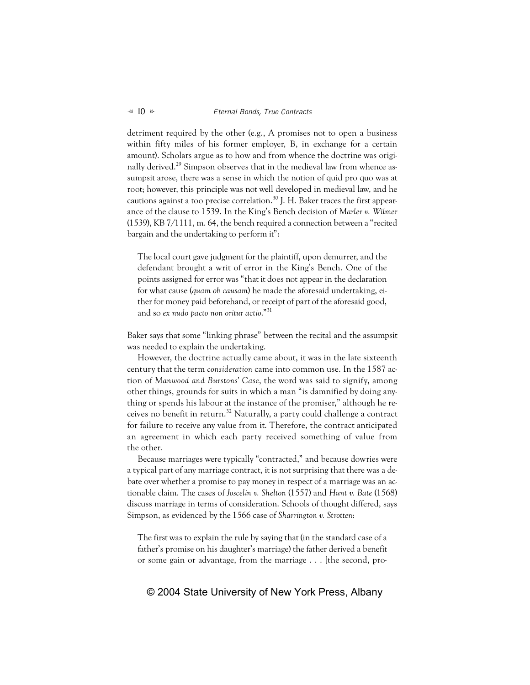detriment required by the other (e.g., A promises not to open a business within fifty miles of his former employer, B, in exchange for a certain amount). Scholars argue as to how and from whence the doctrine was originally derived.<sup>29</sup> Simpson observes that in the medieval law from whence assumpsit arose, there was a sense in which the notion of quid pro quo was at root; however, this principle was not well developed in medieval law, and he cautions against a too precise correlation.<sup>30</sup> J. H. Baker traces the first appearance of the clause to 1539. In the King's Bench decision of *Marler v. Wilmer* (1539), KB 7/1111, m. 64, the bench required a connection between a "recited bargain and the undertaking to perform it":

The local court gave judgment for the plaintiff, upon demurrer, and the defendant brought a writ of error in the King's Bench. One of the points assigned for error was "that it does not appear in the declaration for what cause (*quam ob causam*) he made the aforesaid undertaking, either for money paid beforehand, or receipt of part of the aforesaid good, and so *ex nudo pacto non oritur actio*."31

Baker says that some "linking phrase" between the recital and the assumpsit was needed to explain the undertaking.

However, the doctrine actually came about, it was in the late sixteenth century that the term *consideration* came into common use. In the 1587 action of *Manwood and Burstons' Case*, the word was said to signify, among other things, grounds for suits in which a man "is damnified by doing anything or spends his labour at the instance of the promiser," although he receives no benefit in return.<sup>32</sup> Naturally, a party could challenge a contract for failure to receive any value from it. Therefore, the contract anticipated an agreement in which each party received something of value from the other.

Because marriages were typically "contracted," and because dowries were a typical part of any marriage contract, it is not surprising that there was a debate over whether a promise to pay money in respect of a marriage was an actionable claim. The cases of *Joscelin v. Shelton* (1557) and *Hunt v. Bate* (1568) discuss marriage in terms of consideration. Schools of thought differed, says Simpson, as evidenced by the 1566 case of *Sharrington v. Strotten*:

The first was to explain the rule by saying that (in the standard case of a father's promise on his daughter's marriage) the father derived a benefit or some gain or advantage, from the marriage . . . [the second, pro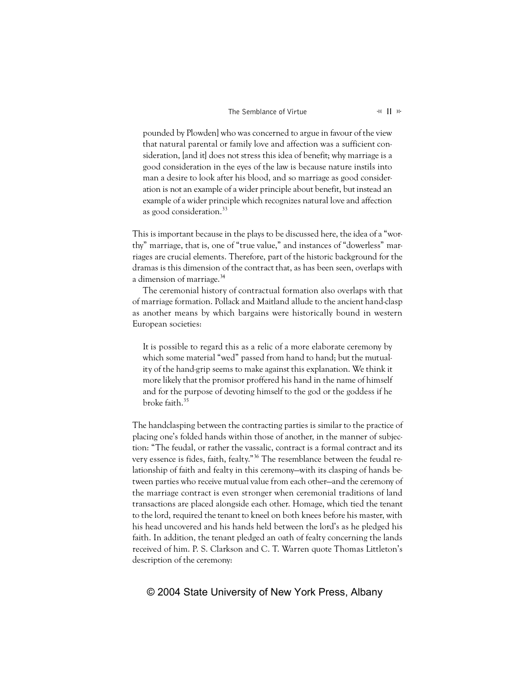pounded by Plowden] who was concerned to argue in favour of the view that natural parental or family love and affection was a sufficient consideration, [and it] does not stress this idea of benefit; why marriage is a good consideration in the eyes of the law is because nature instils into man a desire to look after his blood, and so marriage as good consideration is not an example of a wider principle about benefit, but instead an example of a wider principle which recognizes natural love and affection as good consideration.<sup>33</sup>

This is important because in the plays to be discussed here, the idea of a "worthy" marriage, that is, one of "true value," and instances of "dowerless" marriages are crucial elements. Therefore, part of the historic background for the dramas is this dimension of the contract that, as has been seen, overlaps with a dimension of marriage.34

The ceremonial history of contractual formation also overlaps with that of marriage formation. Pollack and Maitland allude to the ancient hand-clasp as another means by which bargains were historically bound in western European societies:

It is possible to regard this as a relic of a more elaborate ceremony by which some material "wed" passed from hand to hand; but the mutuality of the hand-grip seems to make against this explanation. We think it more likely that the promisor proffered his hand in the name of himself and for the purpose of devoting himself to the god or the goddess if he broke faith.35

The handclasping between the contracting parties is similar to the practice of placing one's folded hands within those of another, in the manner of subjection: "The feudal, or rather the vassalic, contract is a formal contract and its very essence is fides, faith, fealty."36 The resemblance between the feudal relationship of faith and fealty in this ceremony—with its clasping of hands between parties who receive mutual value from each other—and the ceremony of the marriage contract is even stronger when ceremonial traditions of land transactions are placed alongside each other. Homage, which tied the tenant to the lord, required the tenant to kneel on both knees before his master, with his head uncovered and his hands held between the lord's as he pledged his faith. In addition, the tenant pledged an oath of fealty concerning the lands received of him. P. S. Clarkson and C. T. Warren quote Thomas Littleton's description of the ceremony: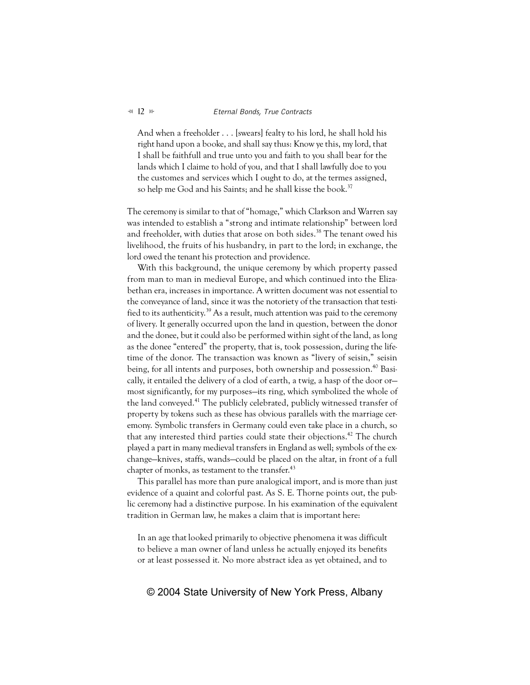And when a freeholder . . . [swears] fealty to his lord, he shall hold his right hand upon a booke, and shall say thus: Know ye this, my lord, that I shall be faithfull and true unto you and faith to you shall bear for the lands which I claime to hold of you, and that I shall lawfully doe to you the customes and services which I ought to do, at the termes assigned, so help me God and his Saints; and he shall kisse the book.<sup>37</sup>

The ceremony is similar to that of "homage," which Clarkson and Warren say was intended to establish a "strong and intimate relationship" between lord and freeholder, with duties that arose on both sides.<sup>38</sup> The tenant owed his livelihood, the fruits of his husbandry, in part to the lord; in exchange, the lord owed the tenant his protection and providence.

With this background, the unique ceremony by which property passed from man to man in medieval Europe, and which continued into the Elizabethan era, increases in importance. A written document was not essential to the conveyance of land, since it was the notoriety of the transaction that testified to its authenticity.<sup>39</sup> As a result, much attention was paid to the ceremony of livery. It generally occurred upon the land in question, between the donor and the donee, but it could also be performed within sight of the land, as long as the donee "entered" the property, that is, took possession, during the lifetime of the donor. The transaction was known as "livery of seisin," seisin being, for all intents and purposes, both ownership and possession.<sup>40</sup> Basically, it entailed the delivery of a clod of earth, a twig, a hasp of the door or most significantly, for my purposes—its ring, which symbolized the whole of the land conveyed.41 The publicly celebrated, publicly witnessed transfer of property by tokens such as these has obvious parallels with the marriage ceremony. Symbolic transfers in Germany could even take place in a church, so that any interested third parties could state their objections.<sup>42</sup> The church played a part in many medieval transfers in England as well; symbols of the exchange—knives, staffs, wands—could be placed on the altar, in front of a full chapter of monks, as testament to the transfer.<sup>43</sup>

This parallel has more than pure analogical import, and is more than just evidence of a quaint and colorful past. As S. E. Thorne points out, the public ceremony had a distinctive purpose. In his examination of the equivalent tradition in German law, he makes a claim that is important here:

In an age that looked primarily to objective phenomena it was difficult to believe a man owner of land unless he actually enjoyed its benefits or at least possessed it. No more abstract idea as yet obtained, and to

#### © 2004 State University of New York Press, Albany

 $# 12 *$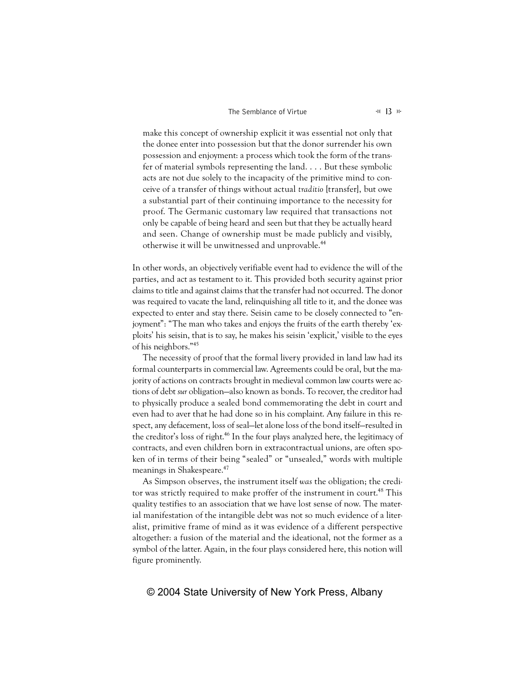make this concept of ownership explicit it was essential not only that the donee enter into possession but that the donor surrender his own possession and enjoyment: a process which took the form of the transfer of material symbols representing the land. . . . But these symbolic acts are not due solely to the incapacity of the primitive mind to conceive of a transfer of things without actual *traditio* [transfer], but owe a substantial part of their continuing importance to the necessity for proof. The Germanic customary law required that transactions not only be capable of being heard and seen but that they be actually heard and seen. Change of ownership must be made publicly and visibly, otherwise it will be unwitnessed and unprovable.44

In other words, an objectively verifiable event had to evidence the will of the parties, and act as testament to it. This provided both security against prior claims to title and against claims that the transfer had not occurred. The donor was required to vacate the land, relinquishing all title to it, and the donee was expected to enter and stay there. Seisin came to be closely connected to "enjoyment": "The man who takes and enjoys the fruits of the earth thereby 'exploits' his seisin, that is to say, he makes his seisin 'explicit,' visible to the eyes of his neighbors."45

The necessity of proof that the formal livery provided in land law had its formal counterparts in commercial law. Agreements could be oral, but the majority of actions on contracts brought in medieval common law courts were actions of debt *sur* obligation—also known as bonds. To recover, the creditor had to physically produce a sealed bond commemorating the debt in court and even had to aver that he had done so in his complaint. Any failure in this respect, any defacement, loss of seal—let alone loss of the bond itself—resulted in the creditor's loss of right.<sup>46</sup> In the four plays analyzed here, the legitimacy of contracts, and even children born in extracontractual unions, are often spoken of in terms of their being "sealed" or "unsealed," words with multiple meanings in Shakespeare.47

As Simpson observes, the instrument itself *was* the obligation; the creditor was strictly required to make proffer of the instrument in court.<sup>48</sup> This quality testifies to an association that we have lost sense of now. The material manifestation of the intangible debt was not so much evidence of a literalist, primitive frame of mind as it was evidence of a different perspective altogether: a fusion of the material and the ideational, not the former as a symbol of the latter. Again, in the four plays considered here, this notion will figure prominently.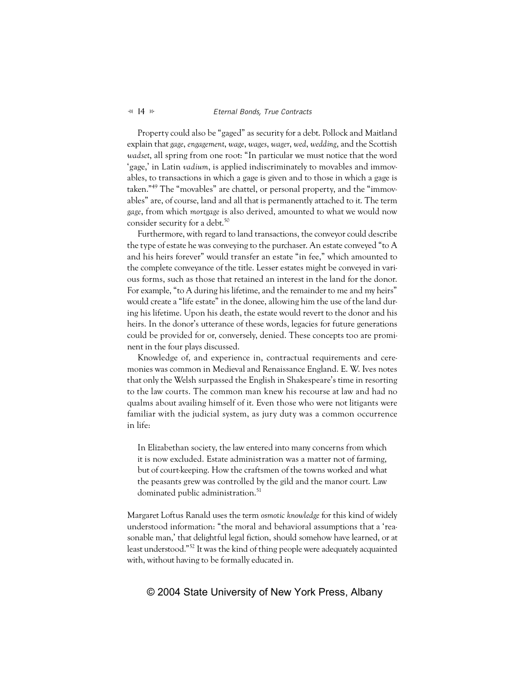$# 14 *$ 

Property could also be "gaged" as security for a debt. Pollock and Maitland explain that *gage*, *engagement*, *wage*, *wages*, *wager*, *wed*, *wedding*, and the Scottish *wadset*, all spring from one root: "In particular we must notice that the word 'gage,' in Latin *vadium*, is applied indiscriminately to movables and immovables, to transactions in which a gage is given and to those in which a gage is taken."49 The "movables" are chattel, or personal property, and the "immovables" are, of course, land and all that is permanently attached to it. The term *gage*, from which *mortgage* is also derived, amounted to what we would now consider security for a debt.<sup>50</sup>

Furthermore, with regard to land transactions, the conveyor could describe the type of estate he was conveying to the purchaser. An estate conveyed "to A and his heirs forever" would transfer an estate "in fee," which amounted to the complete conveyance of the title. Lesser estates might be conveyed in various forms, such as those that retained an interest in the land for the donor. For example, "to A during his lifetime, and the remainder to me and my heirs" would create a "life estate" in the donee, allowing him the use of the land during his lifetime. Upon his death, the estate would revert to the donor and his heirs. In the donor's utterance of these words, legacies for future generations could be provided for or, conversely, denied. These concepts too are prominent in the four plays discussed.

Knowledge of, and experience in, contractual requirements and ceremonies was common in Medieval and Renaissance England. E. W. Ives notes that only the Welsh surpassed the English in Shakespeare's time in resorting to the law courts. The common man knew his recourse at law and had no qualms about availing himself of it. Even those who were not litigants were familiar with the judicial system, as jury duty was a common occurrence in life:

In Elizabethan society, the law entered into many concerns from which it is now excluded. Estate administration was a matter not of farming, but of court-keeping. How the craftsmen of the towns worked and what the peasants grew was controlled by the gild and the manor court. Law dominated public administration.<sup>51</sup>

Margaret Loftus Ranald uses the term *osmotic knowledge* for this kind of widely understood information: "the moral and behavioral assumptions that a 'reasonable man,' that delightful legal fiction, should somehow have learned, or at least understood."52 It was the kind of thing people were adequately acquainted with, without having to be formally educated in.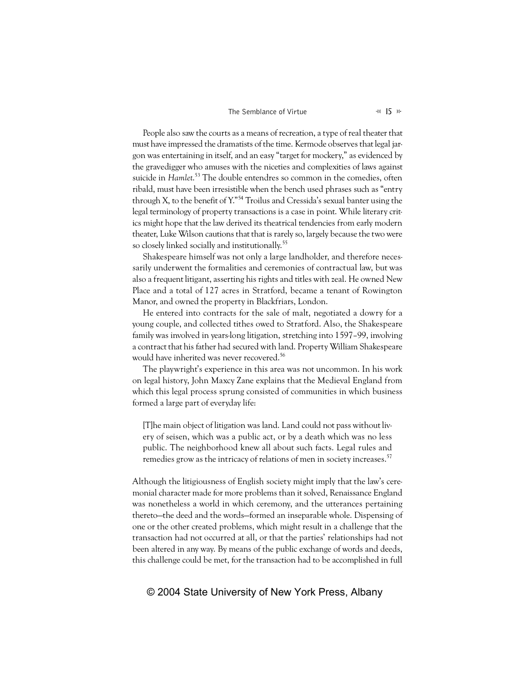People also saw the courts as a means of recreation, a type of real theater that must have impressed the dramatists of the time. Kermode observes that legal jargon was entertaining in itself, and an easy "target for mockery," as evidenced by the gravedigger who amuses with the niceties and complexities of laws against suicide in *Hamlet*. <sup>53</sup> The double entendres so common in the comedies, often ribald, must have been irresistible when the bench used phrases such as "entry through X, to the benefit of Y."<sup>54</sup> Troilus and Cressida's sexual banter using the legal terminology of property transactions is a case in point. While literary critics might hope that the law derived its theatrical tendencies from early modern theater, Luke Wilson cautions that that is rarely so, largely because the two were so closely linked socially and institutionally.<sup>55</sup>

Shakespeare himself was not only a large landholder, and therefore necessarily underwent the formalities and ceremonies of contractual law, but was also a frequent litigant, asserting his rights and titles with zeal. He owned New Place and a total of 127 acres in Stratford, became a tenant of Rowington Manor, and owned the property in Blackfriars, London.

He entered into contracts for the sale of malt, negotiated a dowry for a young couple, and collected tithes owed to Stratford. Also, the Shakespeare family was involved in years-long litigation, stretching into 1597–99, involving a contract that his father had secured with land. Property William Shakespeare would have inherited was never recovered.<sup>56</sup>

The playwright's experience in this area was not uncommon. In his work on legal history, John Maxcy Zane explains that the Medieval England from which this legal process sprung consisted of communities in which business formed a large part of everyday life:

[T]he main object of litigation was land. Land could not pass without livery of seisen, which was a public act, or by a death which was no less public. The neighborhood knew all about such facts. Legal rules and remedies grow as the intricacy of relations of men in society increases.<sup>57</sup>

Although the litigiousness of English society might imply that the law's ceremonial character made for more problems than it solved, Renaissance England was nonetheless a world in which ceremony, and the utterances pertaining thereto—the deed and the words—formed an inseparable whole. Dispensing of one or the other created problems, which might result in a challenge that the transaction had not occurred at all, or that the parties' relationships had not been altered in any way. By means of the public exchange of words and deeds, this challenge could be met, for the transaction had to be accomplished in full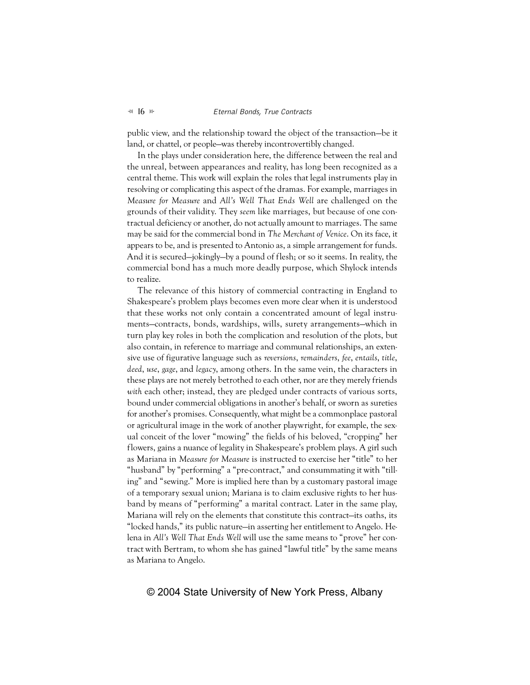public view, and the relationship toward the object of the transaction—be it land, or chattel, or people—was thereby incontrovertibly changed.

In the plays under consideration here, the difference between the real and the unreal, between appearances and reality, has long been recognized as a central theme. This work will explain the roles that legal instruments play in resolving or complicating this aspect of the dramas. For example, marriages in *Measure for Measure* and *All's Well That Ends Well* are challenged on the grounds of their validity. They *seem* like marriages, but because of one contractual deficiency or another, do not actually amount to marriages. The same may be said for the commercial bond in *The Merchant of Venice*. On its face, it appears to be, and is presented to Antonio as, a simple arrangement for funds. And it is secured-jokingly-by a pound of flesh; or so it seems. In reality, the commercial bond has a much more deadly purpose, which Shylock intends to realize.

The relevance of this history of commercial contracting in England to Shakespeare's problem plays becomes even more clear when it is understood that these works not only contain a concentrated amount of legal instruments—contracts, bonds, wardships, wills, surety arrangements—which in turn play key roles in both the complication and resolution of the plots, but also contain, in reference to marriage and communal relationships, an extensive use of figurative language such as *reversions*, *remainders*, *fee*, *entails*, *title*, *deed*, *use*, *gage*, and *legacy*, among others. In the same vein, the characters in these plays are not merely betrothed *to* each other, nor are they merely friends *with* each other; instead, they are pledged under contracts of various sorts, bound under commercial obligations in another's behalf, or sworn as sureties for another's promises. Consequently, what might be a commonplace pastoral or agricultural image in the work of another playwright, for example, the sexual conceit of the lover "mowing" the fields of his beloved, "cropping" her flowers, gains a nuance of legality in Shakespeare's problem plays. A girl such as Mariana in *Measure for Measure* is instructed to exercise her "title" to her "husband" by "performing" a "pre-contract," and consummating it with "tilling" and "sewing." More is implied here than by a customary pastoral image of a temporary sexual union; Mariana is to claim exclusive rights to her husband by means of "performing" a marital contract. Later in the same play, Mariana will rely on the elements that constitute this contract—its oaths, its "locked hands," its public nature—in asserting her entitlement to Angelo. Helena in *All's Well That Ends Well* will use the same means to "prove" her contract with Bertram, to whom she has gained "lawful title" by the same means as Mariana to Angelo.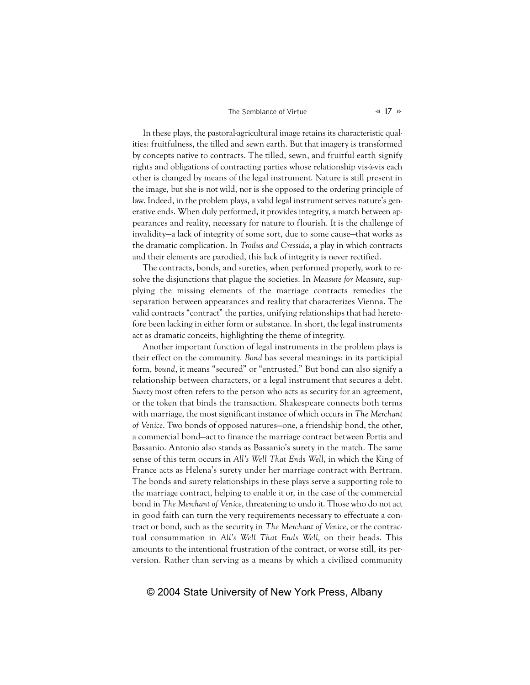In these plays, the pastoral-agricultural image retains its characteristic qualities: fruitfulness, the tilled and sewn earth. But that imagery is transformed by concepts native to contracts. The tilled, sewn, and fruitful earth signify rights and obligations of contracting parties whose relationship vis-à-vis each other is changed by means of the legal instrument. Nature is still present in the image, but she is not wild, nor is she opposed to the ordering principle of law. Indeed, in the problem plays, a valid legal instrument serves nature's generative ends. When duly performed, it provides integrity, a match between appearances and reality, necessary for nature to f lourish. It is the challenge of invalidity—a lack of integrity of some sort, due to some cause—that works as the dramatic complication. In *Troilus and Cressida*, a play in which contracts and their elements are parodied, this lack of integrity is never rectified.

The contracts, bonds, and sureties, when performed properly, work to resolve the disjunctions that plague the societies. In *Measure for Measure*, supplying the missing elements of the marriage contracts remedies the separation between appearances and reality that characterizes Vienna. The valid contracts "contract" the parties, unifying relationships that had heretofore been lacking in either form or substance. In short, the legal instruments act as dramatic conceits, highlighting the theme of integrity.

Another important function of legal instruments in the problem plays is their effect on the community. *Bond* has several meanings: in its participial form, *bound*, it means "secured" or "entrusted." But bond can also signify a relationship between characters, or a legal instrument that secures a debt. *Surety* most often refers to the person who acts as security for an agreement, or the token that binds the transaction. Shakespeare connects both terms with marriage, the most significant instance of which occurs in *The Merchant of Venice*. Two bonds of opposed natures—one, a friendship bond, the other, a commercial bond—act to finance the marriage contract between Portia and Bassanio. Antonio also stands as Bassanio's surety in the match. The same sense of this term occurs in *All's Well That Ends Well*, in which the King of France acts as Helena's surety under her marriage contract with Bertram. The bonds and surety relationships in these plays serve a supporting role to the marriage contract, helping to enable it or, in the case of the commercial bond in *The Merchant of Venice*, threatening to undo it. Those who do not act in good faith can turn the very requirements necessary to effectuate a contract or bond, such as the security in *The Merchant of Venice*, or the contractual consummation in *All's Well That Ends Well,* on their heads. This amounts to the intentional frustration of the contract, or worse still, its perversion. Rather than serving as a means by which a civilized community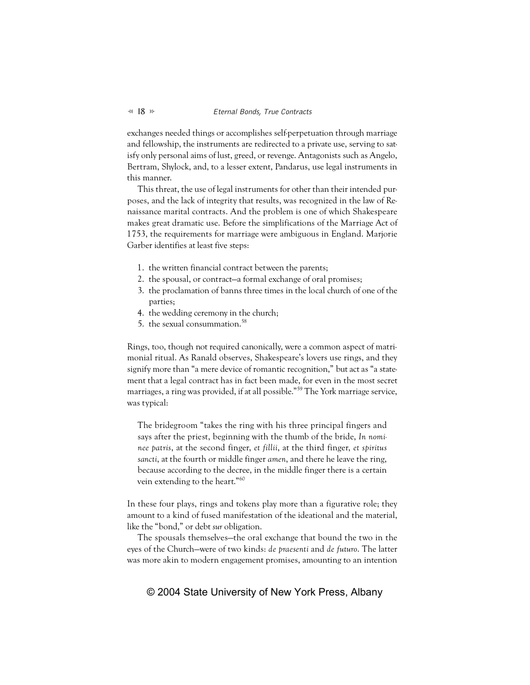exchanges needed things or accomplishes self-perpetuation through marriage and fellowship, the instruments are redirected to a private use, serving to satisfy only personal aims of lust, greed, or revenge. Antagonists such as Angelo, Bertram, Shylock, and, to a lesser extent, Pandarus, use legal instruments in this manner.

This threat, the use of legal instruments for other than their intended purposes, and the lack of integrity that results, was recognized in the law of Renaissance marital contracts. And the problem is one of which Shakespeare makes great dramatic use. Before the simplifications of the Marriage Act of 1753, the requirements for marriage were ambiguous in England. Marjorie Garber identifies at least five steps:

- 1. the written financial contract between the parents;
- 2. the spousal, or contract—a formal exchange of oral promises;
- 3. the proclamation of banns three times in the local church of one of the parties;
- 4. the wedding ceremony in the church;
- 5. the sexual consummation.<sup>58</sup>

Rings, too, though not required canonically, were a common aspect of matrimonial ritual. As Ranald observes, Shakespeare's lovers use rings, and they signify more than "a mere device of romantic recognition," but act as "a statement that a legal contract has in fact been made, for even in the most secret marriages, a ring was provided, if at all possible."59 The York marriage service, was typical:

The bridegroom "takes the ring with his three principal fingers and says after the priest, beginning with the thumb of the bride, *In nominee patris*, at the second finger, *et fillii*, at the third finger, *et spiritus sancti*, at the fourth or middle finger *amen*, and there he leave the ring, because according to the decree, in the middle finger there is a certain vein extending to the heart."60

In these four plays, rings and tokens play more than a figurative role; they amount to a kind of fused manifestation of the ideational and the material, like the "bond," or debt *sur* obligation.

The spousals themselves—the oral exchange that bound the two in the eyes of the Church—were of two kinds: *de praesenti* and *de futuro*. The latter was more akin to modern engagement promises, amounting to an intention

 $# 18$   $#$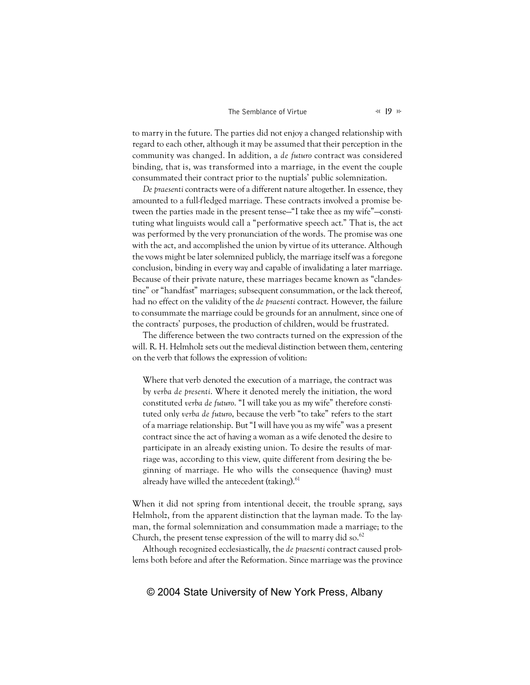to marry in the future. The parties did not enjoy a changed relationship with regard to each other, although it may be assumed that their perception in the community was changed. In addition, a *de futuro* contract was considered binding, that is, was transformed into a marriage, in the event the couple consummated their contract prior to the nuptials' public solemnization.

*De praesenti* contracts were of a different nature altogether. In essence, they amounted to a full-fledged marriage. These contracts involved a promise between the parties made in the present tense—"I take thee as my wife"—constituting what linguists would call a "performative speech act." That is, the act was performed by the very pronunciation of the words. The promise was one with the act, and accomplished the union by virtue of its utterance. Although the vows might be later solemnized publicly, the marriage itself was a foregone conclusion, binding in every way and capable of invalidating a later marriage. Because of their private nature, these marriages became known as "clandestine" or "handfast" marriages; subsequent consummation, or the lack thereof, had no effect on the validity of the *de praesenti* contract. However, the failure to consummate the marriage could be grounds for an annulment, since one of the contracts' purposes, the production of children, would be frustrated.

The difference between the two contracts turned on the expression of the will. R. H. Helmholz sets out the medieval distinction between them, centering on the verb that follows the expression of volition:

Where that verb denoted the execution of a marriage, the contract was by *verba de presenti*. Where it denoted merely the initiation, the word constituted *verba de futuro*. "I will take you as my wife" therefore constituted only *verba de futuro*, because the verb "to take" refers to the start of a marriage relationship. But "I will have you as my wife" was a present contract since the act of having a woman as a wife denoted the desire to participate in an already existing union. To desire the results of marriage was, according to this view, quite different from desiring the beginning of marriage. He who wills the consequence (having) must already have willed the antecedent (taking).<sup>61</sup>

When it did not spring from intentional deceit, the trouble sprang, says Helmholz, from the apparent distinction that the layman made. To the layman, the formal solemnization and consummation made a marriage; to the Church, the present tense expression of the will to marry did so. $62$ 

Although recognized ecclesiastically, the *de praesenti* contract caused problems both before and after the Reformation. Since marriage was the province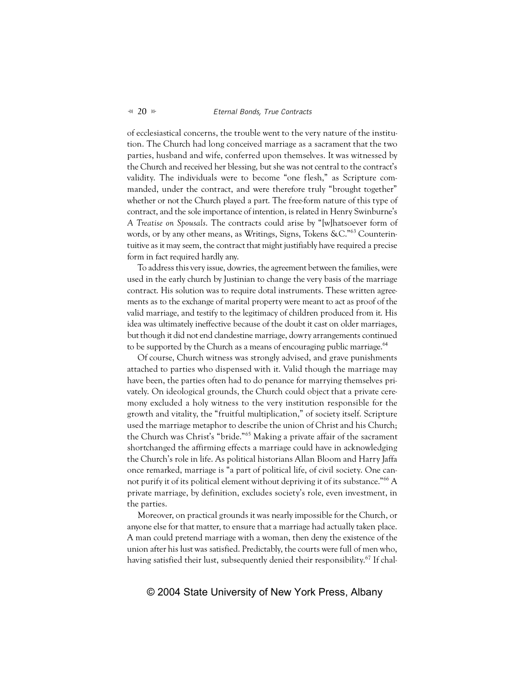of ecclesiastical concerns, the trouble went to the very nature of the institution. The Church had long conceived marriage as a sacrament that the two parties, husband and wife, conferred upon themselves. It was witnessed by the Church and received her blessing, but she was not central to the contract's validity. The individuals were to become "one flesh," as Scripture commanded, under the contract, and were therefore truly "brought together" whether or not the Church played a part. The free-form nature of this type of contract, and the sole importance of intention, is related in Henry Swinburne's *A Treatise on Spousals*. The contracts could arise by "[w]hatsoever form of words, or by any other means, as Writings, Signs, Tokens &C."63 Counterintuitive as it may seem, the contract that might justifiably have required a precise form in fact required hardly any.

To address this very issue, dowries, the agreement between the families, were used in the early church by Justinian to change the very basis of the marriage contract. His solution was to require dotal instruments. These written agreements as to the exchange of marital property were meant to act as proof of the valid marriage, and testify to the legitimacy of children produced from it. His idea was ultimately ineffective because of the doubt it cast on older marriages, but though it did not end clandestine marriage, dowry arrangements continued to be supported by the Church as a means of encouraging public marriage.<sup>64</sup>

Of course, Church witness was strongly advised, and grave punishments attached to parties who dispensed with it. Valid though the marriage may have been, the parties often had to do penance for marrying themselves privately. On ideological grounds, the Church could object that a private ceremony excluded a holy witness to the very institution responsible for the growth and vitality, the "fruitful multiplication," of society itself. Scripture used the marriage metaphor to describe the union of Christ and his Church; the Church was Christ's "bride."65 Making a private affair of the sacrament shortchanged the affirming effects a marriage could have in acknowledging the Church's role in life. As political historians Allan Bloom and Harry Jaffa once remarked, marriage is "a part of political life, of civil society. One cannot purify it of its political element without depriving it of its substance."66 A private marriage, by definition, excludes society's role, even investment, in the parties.

Moreover, on practical grounds it was nearly impossible for the Church, or anyone else for that matter, to ensure that a marriage had actually taken place. A man could pretend marriage with a woman, then deny the existence of the union after his lust was satisfied. Predictably, the courts were full of men who, having satisfied their lust, subsequently denied their responsibility.<sup>67</sup> If chal-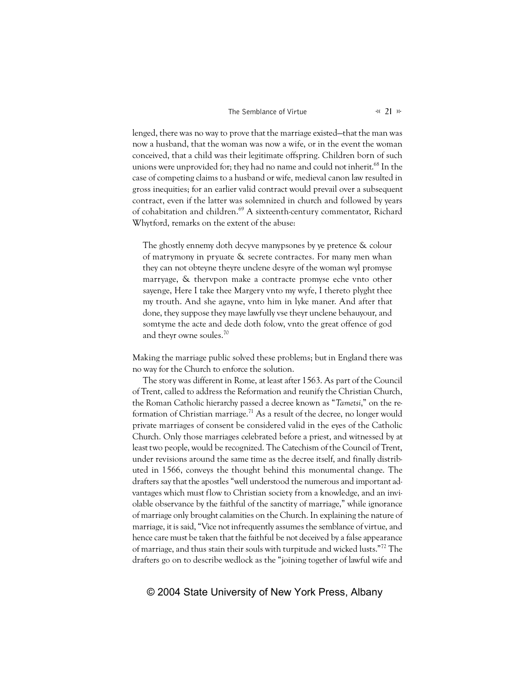lenged, there was no way to prove that the marriage existed—that the man was now a husband, that the woman was now a wife, or in the event the woman conceived, that a child was their legitimate offspring. Children born of such unions were unprovided for; they had no name and could not inherit.<sup>68</sup> In the case of competing claims to a husband or wife, medieval canon law resulted in gross inequities; for an earlier valid contract would prevail over a subsequent contract, even if the latter was solemnized in church and followed by years of cohabitation and children.<sup>69</sup> A sixteenth-century commentator, Richard Whytford, remarks on the extent of the abuse:

The ghostly ennemy doth decyve manypsones by ye pretence & colour of matrymony in pryuate & secrete contractes. For many men whan they can not obteyne theyre unclene desyre of the woman wyl promyse marryage, & thervpon make a contracte promyse eche vnto other sayenge, Here I take thee Margery vnto my wyfe, I thereto plyght thee my trouth. And she agayne, vnto him in lyke maner. And after that done, they suppose they maye lawfully vse theyr unclene behauyour, and somtyme the acte and dede doth folow, vnto the great offence of god and theyr owne soules.70

Making the marriage public solved these problems; but in England there was no way for the Church to enforce the solution.

The story was different in Rome, at least after 1563. As part of the Council of Trent, called to address the Reformation and reunify the Christian Church, the Roman Catholic hierarchy passed a decree known as "*Tametsi*," on the reformation of Christian marriage.<sup>71</sup> As a result of the decree, no longer would private marriages of consent be considered valid in the eyes of the Catholic Church. Only those marriages celebrated before a priest, and witnessed by at least two people, would be recognized. The Catechism of the Council of Trent, under revisions around the same time as the decree itself, and finally distributed in 1566, conveys the thought behind this monumental change. The drafters say that the apostles "well understood the numerous and important advantages which must flow to Christian society from a knowledge, and an inviolable observance by the faithful of the sanctity of marriage," while ignorance of marriage only brought calamities on the Church. In explaining the nature of marriage, it is said, "Vice not infrequently assumes the semblance of virtue, and hence care must be taken that the faithful be not deceived by a false appearance of marriage, and thus stain their souls with turpitude and wicked lusts."72 The drafters go on to describe wedlock as the "joining together of lawful wife and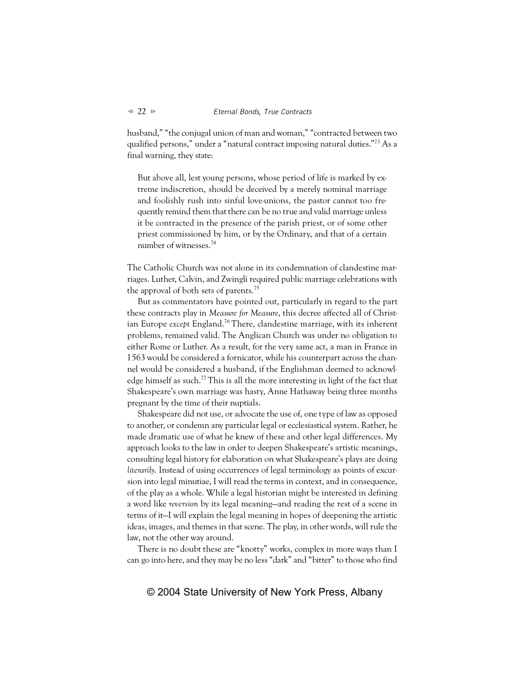husband," "the conjugal union of man and woman," "contracted between two qualified persons," under a "natural contract imposing natural duties."73 As a final warning, they state:

But above all, lest young persons, whose period of life is marked by extreme indiscretion, should be deceived by a merely nominal marriage and foolishly rush into sinful love-unions, the pastor cannot too frequently remind them that there can be no true and valid marriage unless it be contracted in the presence of the parish priest, or of some other priest commissioned by him, or by the Ordinary, and that of a certain number of witnesses.74

The Catholic Church was not alone in its condemnation of clandestine marriages. Luther, Calvin, and Zwingli required public marriage celebrations with the approval of both sets of parents.75

But as commentators have pointed out, particularly in regard to the part these contracts play in *Measure for Measure*, this decree affected all of Christian Europe *except* England.<sup>76</sup> There, clandestine marriage, with its inherent problems, remained valid. The Anglican Church was under no obligation to either Rome or Luther. As a result, for the very same act, a man in France in 1563 would be considered a fornicator, while his counterpart across the channel would be considered a husband, if the Englishman deemed to acknowledge himself as such.<sup>77</sup>This is all the more interesting in light of the fact that Shakespeare's own marriage was hasty, Anne Hathaway being three months pregnant by the time of their nuptials.

Shakespeare did not use, or advocate the use of, one type of law as opposed to another, or condemn any particular legal or ecclesiastical system. Rather, he made dramatic use of what he knew of these and other legal differences. My approach looks to the law in order to deepen Shakespeare's artistic meanings, consulting legal history for elaboration on what Shakespeare's plays are doing *literarily*. Instead of using occurrences of legal terminology as points of excursion into legal minutiae, I will read the terms in context, and in consequence, of the play as a whole. While a legal historian might be interested in defining a word like *reversion* by its legal meaning—and reading the rest of a scene in terms of it—I will explain the legal meaning in hopes of deepening the artistic ideas, images, and themes in that scene. The play, in other words, will rule the law, not the other way around.

There is no doubt these are "knotty" works, complex in more ways than I can go into here, and they may be no less "dark" and "bitter" to those who find